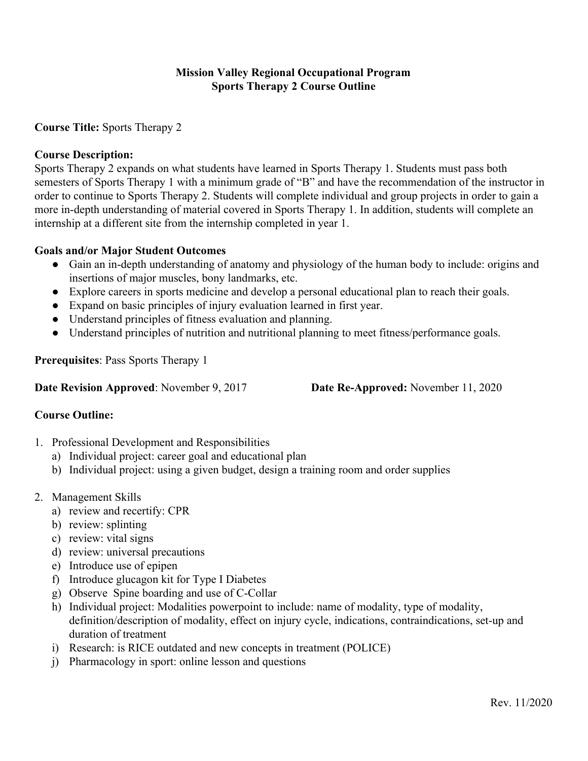## **Mission Valley Regional Occupational Program Sports Therapy 2 Course Outline**

**Course Title:** Sports Therapy 2

#### **Course Description:**

Sports Therapy 2 expands on what students have learned in Sports Therapy 1. Students must pass both semesters of Sports Therapy 1 with a minimum grade of "B" and have the recommendation of the instructor in order to continue to Sports Therapy 2. Students will complete individual and group projects in order to gain a more in-depth understanding of material covered in Sports Therapy 1. In addition, students will complete an internship at a different site from the internship completed in year 1.

## **Goals and/or Major Student Outcomes**

- Gain an in-depth understanding of anatomy and physiology of the human body to include: origins and insertions of major muscles, bony landmarks, etc.
- Explore careers in sports medicine and develop a personal educational plan to reach their goals.
- Expand on basic principles of injury evaluation learned in first year.
- Understand principles of fitness evaluation and planning.
- Understand principles of nutrition and nutritional planning to meet fitness/performance goals.

**Prerequisites**: Pass Sports Therapy 1

**Date Revision Approved**: November 9, 2017 **Date Re-Approved:** November 11, 2020

#### **Course Outline:**

- 1. Professional Development and Responsibilities
	- a) Individual project: career goal and educational plan
	- b) Individual project: using a given budget, design a training room and order supplies
- 2. Management Skills
	- a) review and recertify: CPR
	- b) review: splinting
	- c) review: vital signs
	- d) review: universal precautions
	- e) Introduce use of epipen
	- f) Introduce glucagon kit for Type I Diabetes
	- g) Observe Spine boarding and use of C-Collar
	- h) Individual project: Modalities powerpoint to include: name of modality, type of modality, definition/description of modality, effect on injury cycle, indications, contraindications, set-up and duration of treatment
	- i) Research: is RICE outdated and new concepts in treatment (POLICE)
	- j) Pharmacology in sport: online lesson and questions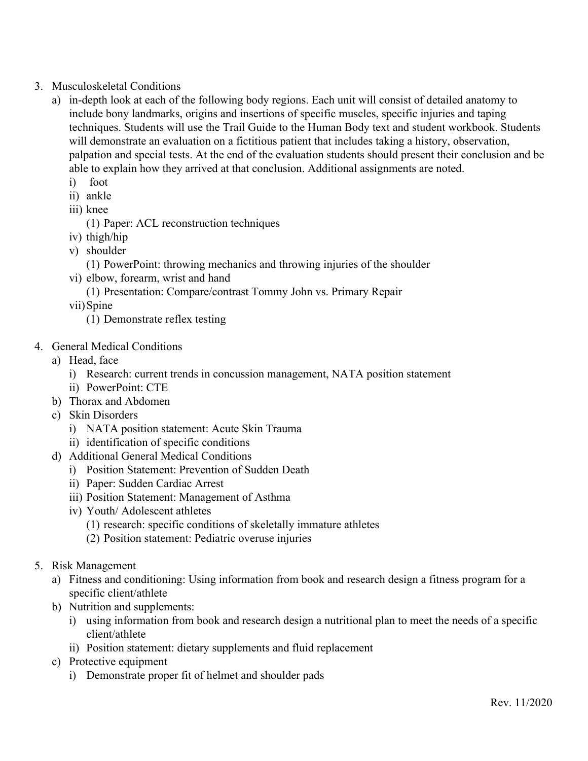- 3. Musculoskeletal Conditions
	- a) in-depth look at each of the following body regions. Each unit will consist of detailed anatomy to include bony landmarks, origins and insertions of specific muscles, specific injuries and taping techniques. Students will use the Trail Guide to the Human Body text and student workbook. Students will demonstrate an evaluation on a fictitious patient that includes taking a history, observation, palpation and special tests. At the end of the evaluation students should present their conclusion and be able to explain how they arrived at that conclusion. Additional assignments are noted.
		- i) foot
		- ii) ankle
		- iii) knee
			- (1) Paper: ACL reconstruction techniques
		- iv) thigh/hip
		- v) shoulder
			- (1) PowerPoint: throwing mechanics and throwing injuries of the shoulder
		- vi) elbow, forearm, wrist and hand
			- (1) Presentation: Compare/contrast Tommy John vs. Primary Repair
		- vii)Spine
			- (1) Demonstrate reflex testing
- 4. General Medical Conditions
	- a) Head, face
		- i) Research: current trends in concussion management, NATA position statement
		- ii) PowerPoint: CTE
	- b) Thorax and Abdomen
	- c) Skin Disorders
		- i) NATA position statement: Acute Skin Trauma
		- ii) identification of specific conditions
	- d) Additional General Medical Conditions
		- i) Position Statement: Prevention of Sudden Death
		- ii) Paper: Sudden Cardiac Arrest
		- iii) Position Statement: Management of Asthma
		- iv) Youth/ Adolescent athletes
			- (1) research: specific conditions of skeletally immature athletes
			- (2) Position statement: Pediatric overuse injuries
- 5. Risk Management
	- a) Fitness and conditioning: Using information from book and research design a fitness program for a specific client/athlete
	- b) Nutrition and supplements:
		- i) using information from book and research design a nutritional plan to meet the needs of a specific client/athlete
		- ii) Position statement: dietary supplements and fluid replacement
	- c) Protective equipment
		- i) Demonstrate proper fit of helmet and shoulder pads